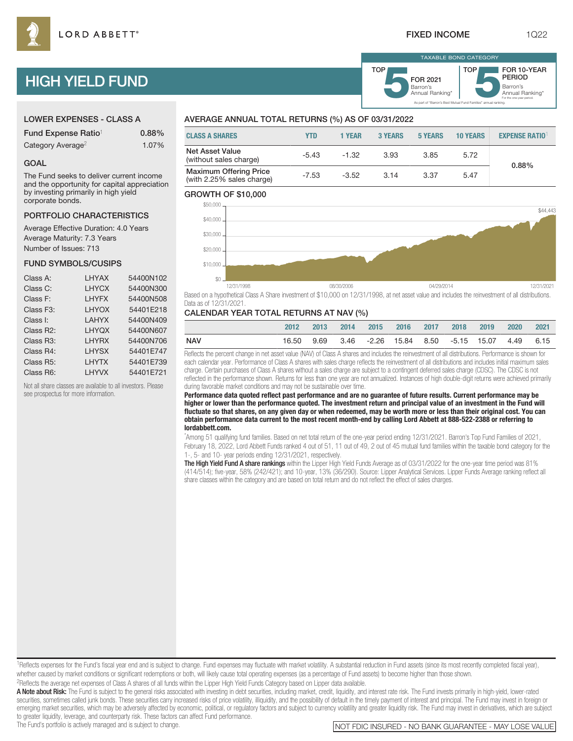TOP

# HIGH YIELD FUND

| <b>LOWER EXPENSES - CLASS A</b> |  |
|---------------------------------|--|
|---------------------------------|--|

| Fund Expense Ratio <sup>1</sup> | 0.88% |
|---------------------------------|-------|
| Category Average <sup>2</sup>   | 1.07% |

#### GOAL

The Fund seeks to deliver current income and the opportunity for capital appreciation by investing primarily in high yield corporate bonds.

#### PORTFOLIO CHARACTERISTICS

Average Effective Duration: 4.0 Years Average Maturity: 7.3 Years Number of Issues: 713

#### FUND SYMBOLS/CUSIPS

| Class A:               | LHYAX        | 54400N102 |
|------------------------|--------------|-----------|
| Class C:               | <b>LHYCX</b> | 54400N300 |
| Class F:               | LHYFX        | 54400N508 |
| Class F <sub>3</sub> : | <b>LHYOX</b> | 54401E218 |
| Class I:               | <b>LAHYX</b> | 54400N409 |
| Class R2:              | <b>LHYQX</b> | 54400N607 |
| Class R <sub>3</sub> : | LHYRX        | 54400N706 |
| Class R4:              | <b>LHYSX</b> | 54401E747 |
| Class R5:              | <b>LHYTX</b> | 54401E739 |
| Class R6:              | LHYVX        | 54401E721 |
|                        |              |           |

Not all share classes are available to all investors. Please see prospectus for more information.

# AVERAGE ANNUAL TOTAL RETURNS (%) AS OF 03/31/2022

| <b>CLASS A SHARES</b>                                      | YTD     | <b>1 YEAR</b> | 3 YEARS | 5 YEARS | <b>10 YEARS</b> | <b>EXPENSE RATIO</b> |
|------------------------------------------------------------|---------|---------------|---------|---------|-----------------|----------------------|
| <b>Net Asset Value</b><br>(without sales charge)           | $-5.43$ | $-1.32$       | 3.93    | 3.85    | 5.72            | 0.88%                |
| <b>Maximum Offering Price</b><br>(with 2.25% sales charge) | $-7.53$ | $-3.52$       | 3.14    | 3.37    | 5.47            |                      |

#### GROWTH OF \$10,000



Based on a hypothetical Class A Share investment of \$10,000 on 12/31/1998, at net asset value and includes the reinvestment of all distributions. Data as of 12/31/2021.

#### CALENDAR YEAR TOTAL RETURNS AT NAV (%)

|     | 2012       | $-2013$ | 2014 | 2015 2016 2017 2018                         |  | 2019 | 2020 | 2021 |
|-----|------------|---------|------|---------------------------------------------|--|------|------|------|
| NAV | 16.50 9.69 |         |      | 3.46 -2.26 15.84 8.50 -5.15 15.07 4.49 6.15 |  |      |      |      |

Reflects the percent change in net asset value (NAV) of Class A shares and includes the reinvestment of all distributions. Performance is shown for each calendar year. Performance of Class A shares with sales charge reflects the reinvestment of all distributions and includes initial maximum sales charge. Certain purchases of Class A shares without a sales charge are subject to a contingent deferred sales charge (CDSC). The CDSC is not reflected in the performance shown. Returns for less than one year are not annualized. Instances of high double-digit returns were achieved primarily during favorable market conditions and may not be sustainable over time.

**Performance data quoted reflect past performance and are no guarantee of future results. Current performance may be higher or lower than the performance quoted. The investment return and principal value of an investment in the Fund will fluctuate so that shares, on any given day or when redeemed, may be worth more or less than their original cost. You can obtain performance data current to the most recent month-end by calling Lord Abbett at 888-522-2388 or referring to lordabbett.com.**

\* Among 51 qualifying fund families. Based on net total return of the one-year period ending 12/31/2021. Barron's Top Fund Families of 2021, February 18, 2022, Lord Abbett Funds ranked 4 out of 51, 11 out of 49, 2 out of 45 mutual fund families within the taxable bond category for the 1-, 5- and 10- year periods ending 12/31/2021, respectively.

The High Yield Fund A share rankings within the Lipper High Yield Funds Average as of 03/31/2022 for the one-year time period was 81% (414/514); five-year, 58% (242/421); and 10-year, 13% (36/290). Source: Lipper Analytical Services. Lipper Funds Average ranking reflect all share classes within the category and are based on total return and do not reflect the effect of sales charges.

<sup>1</sup>Reflects expenses for the Fund's fiscal year end and is subject to change. Fund expenses may fluctuate with market volatility. A substantial reduction in Fund assets (since its most recently completed fiscal year), whether caused by market conditions or significant redemptions or both, will likely cause total operating expenses (as a percentage of Fund assets) to become higher than those shown. 2Reflects the average net expenses of Class A shares of all funds within the Lipper High Yield Funds Category based on Lipper data available.

A Note about Risk: The Fund is subject to the general risks associated with investing in debt securities, including market, credit, liquidity, and interest rate risk. The Fund invests primarily in high-yield, lower-rated securities, sometimes called junk bonds. These securities carry increased risks of price volatility, illiquidity, and the possibility of default in the timely payment of interest and principal. The Fund may invest in forei emerging market securities, which may be adversely affected by economic, political, or regulatory factors and subject to currency volatility and greater liquidity risk. The Fund may invest in derivatives, which are subject to greater liquidity, leverage, and counterparty risk. These factors can affect Fund performance.

Barron's<br>Annual Ranking\*

For the one-year period.

As part of "Barron's Best Mutual Fund Families" annual ranking.

Barron's **5**Annual Ranking\* FOR 2021